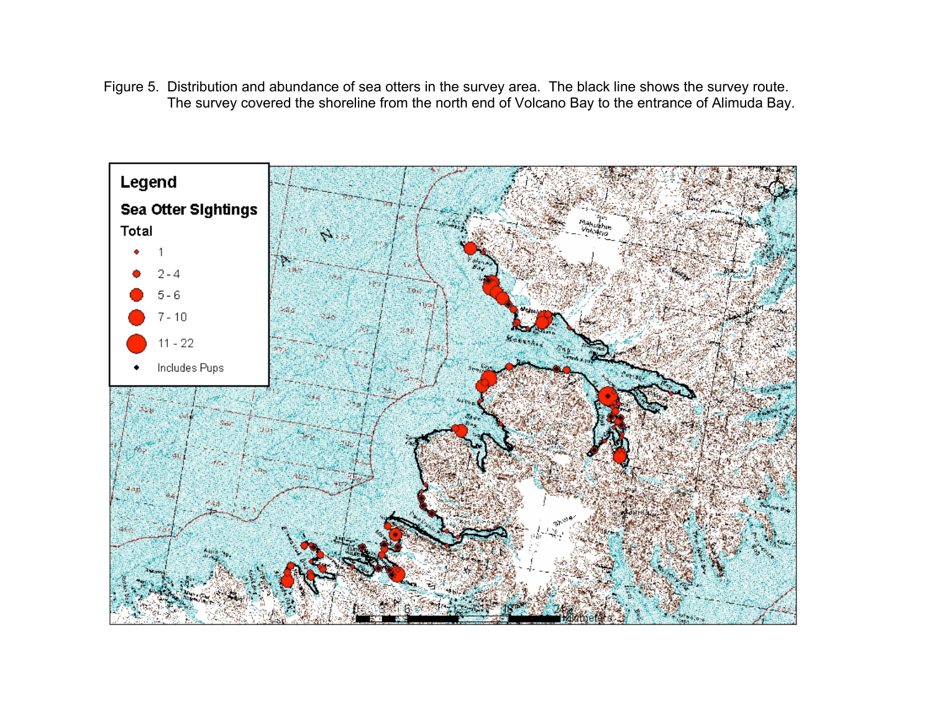Figure 5. Distribution and abundance of sea otters in the survey area. The black line shows the survey route. The survey covered the shoreline from the north end of Volcano Bay to the entrance of Alimuda Bay.

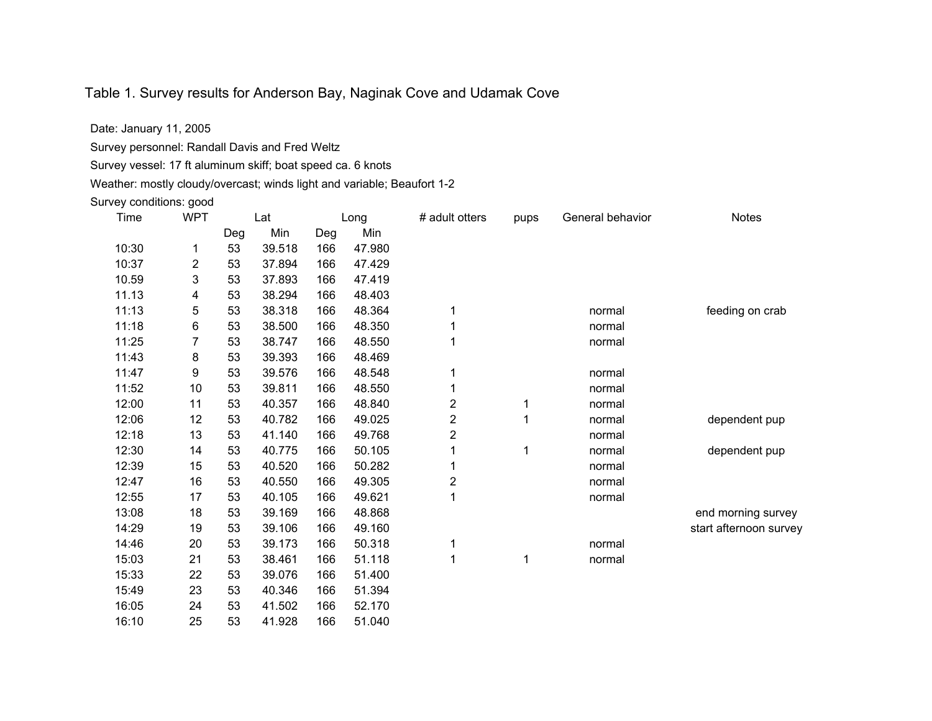## Table 1. Survey results for Anderson Bay, Naginak Cove and Udamak Cove

Date: January 11, 2005

Survey personnel: Randall Davis and Fred Weltz

Survey vessel: 17 ft aluminum skiff; boat speed ca. 6 knots

Weather: mostly cloudy/overcast; winds light and variable; Beaufort 1-2

Survey conditions: good

| Time  | <b>WPT</b> | Lat |        | Long |        | # adult otters          | pups         | General behavior | <b>Notes</b>           |
|-------|------------|-----|--------|------|--------|-------------------------|--------------|------------------|------------------------|
|       |            | Deg | Min    | Deg  | Min    |                         |              |                  |                        |
| 10:30 | 1          | 53  | 39.518 | 166  | 47.980 |                         |              |                  |                        |
| 10:37 | 2          | 53  | 37.894 | 166  | 47.429 |                         |              |                  |                        |
| 10.59 | 3          | 53  | 37.893 | 166  | 47.419 |                         |              |                  |                        |
| 11.13 | 4          | 53  | 38.294 | 166  | 48.403 |                         |              |                  |                        |
| 11:13 | 5          | 53  | 38.318 | 166  | 48.364 | 1                       |              | normal           | feeding on crab        |
| 11:18 | 6          | 53  | 38.500 | 166  | 48.350 | 1                       |              | normal           |                        |
| 11:25 | 7          | 53  | 38.747 | 166  | 48.550 | 1                       |              | normal           |                        |
| 11:43 | 8          | 53  | 39.393 | 166  | 48.469 |                         |              |                  |                        |
| 11:47 | 9          | 53  | 39.576 | 166  | 48.548 |                         |              | normal           |                        |
| 11:52 | 10         | 53  | 39.811 | 166  | 48.550 | 1                       |              | normal           |                        |
| 12:00 | 11         | 53  | 40.357 | 166  | 48.840 | $\overline{\mathbf{c}}$ | 1            | normal           |                        |
| 12:06 | 12         | 53  | 40.782 | 166  | 49.025 | $\overline{\mathbf{c}}$ | $\mathbf{1}$ | normal           | dependent pup          |
| 12:18 | 13         | 53  | 41.140 | 166  | 49.768 | $\overline{2}$          |              | normal           |                        |
| 12:30 | 14         | 53  | 40.775 | 166  | 50.105 |                         | 1            | normal           | dependent pup          |
| 12:39 | 15         | 53  | 40.520 | 166  | 50.282 | 1                       |              | normal           |                        |
| 12:47 | 16         | 53  | 40.550 | 166  | 49.305 | $\overline{2}$          |              | normal           |                        |
| 12:55 | 17         | 53  | 40.105 | 166  | 49.621 | 1                       |              | normal           |                        |
| 13:08 | 18         | 53  | 39.169 | 166  | 48.868 |                         |              |                  | end morning survey     |
| 14:29 | 19         | 53  | 39.106 | 166  | 49.160 |                         |              |                  | start afternoon survey |
| 14:46 | 20         | 53  | 39.173 | 166  | 50.318 | 1                       |              | normal           |                        |
| 15:03 | 21         | 53  | 38.461 | 166  | 51.118 | 1                       | 1            | normal           |                        |
| 15:33 | 22         | 53  | 39.076 | 166  | 51.400 |                         |              |                  |                        |
| 15:49 | 23         | 53  | 40.346 | 166  | 51.394 |                         |              |                  |                        |
| 16:05 | 24         | 53  | 41.502 | 166  | 52.170 |                         |              |                  |                        |
| 16:10 | 25         | 53  | 41.928 | 166  | 51.040 |                         |              |                  |                        |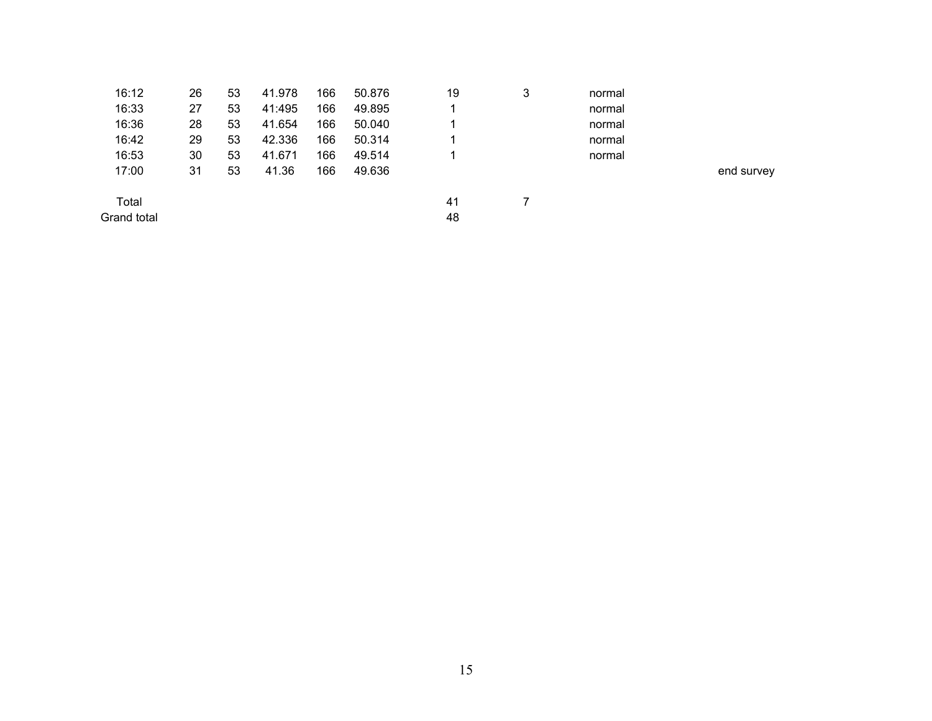| 16:12       | 26 | 53 | 41.978 | 166 | 50.876 | 19 | 3 | normal |            |
|-------------|----|----|--------|-----|--------|----|---|--------|------------|
| 16:33       | 27 | 53 | 41:495 | 166 | 49.895 |    |   | normal |            |
| 16:36       | 28 | 53 | 41.654 | 166 | 50.040 |    |   | normal |            |
| 16:42       | 29 | 53 | 42.336 | 166 | 50.314 |    |   | normal |            |
| 16:53       | 30 | 53 | 41.671 | 166 | 49.514 |    |   | normal |            |
| 17:00       | 31 | 53 | 41.36  | 166 | 49.636 |    |   |        | end survey |
| Total       |    |    |        |     |        | 41 |   |        |            |
| Grand total |    |    |        |     |        | 48 |   |        |            |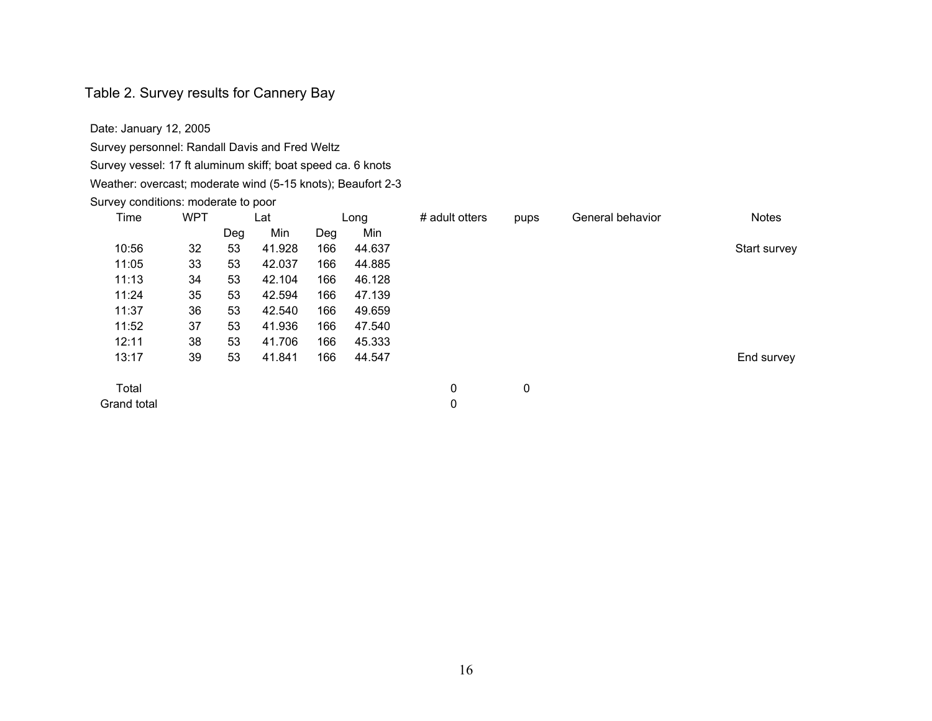#### Table 2. Survey results for Cannery Bay

Date: January 12, 2005

Survey personnel: Randall Davis and Fred Weltz

Survey vessel: 17 ft aluminum skiff; boat speed ca. 6 knots

Weather: overcast; moderate wind (5-15 knots); Beaufort 2-3

Survey conditions: moderate to poor

| Time        | <b>WPT</b> |     | Lat    |     | Long   | # adult otters | pups | General behavior | <b>Notes</b> |
|-------------|------------|-----|--------|-----|--------|----------------|------|------------------|--------------|
|             |            | Deg | Min    | Deg | Min    |                |      |                  |              |
| 10:56       | 32         | 53  | 41.928 | 166 | 44.637 |                |      |                  | Start survey |
| 11:05       | 33         | 53  | 42.037 | 166 | 44.885 |                |      |                  |              |
| 11:13       | 34         | 53  | 42.104 | 166 | 46.128 |                |      |                  |              |
| 11:24       | 35         | 53  | 42.594 | 166 | 47.139 |                |      |                  |              |
| 11:37       | 36         | 53  | 42.540 | 166 | 49.659 |                |      |                  |              |
| 11:52       | 37         | 53  | 41.936 | 166 | 47.540 |                |      |                  |              |
| 12:11       | 38         | 53  | 41.706 | 166 | 45.333 |                |      |                  |              |
| 13:17       | 39         | 53  | 41.841 | 166 | 44.547 |                |      |                  | End survey   |
| Total       |            |     |        |     |        | 0              | 0    |                  |              |
| Grand total |            |     |        |     |        | 0              |      |                  |              |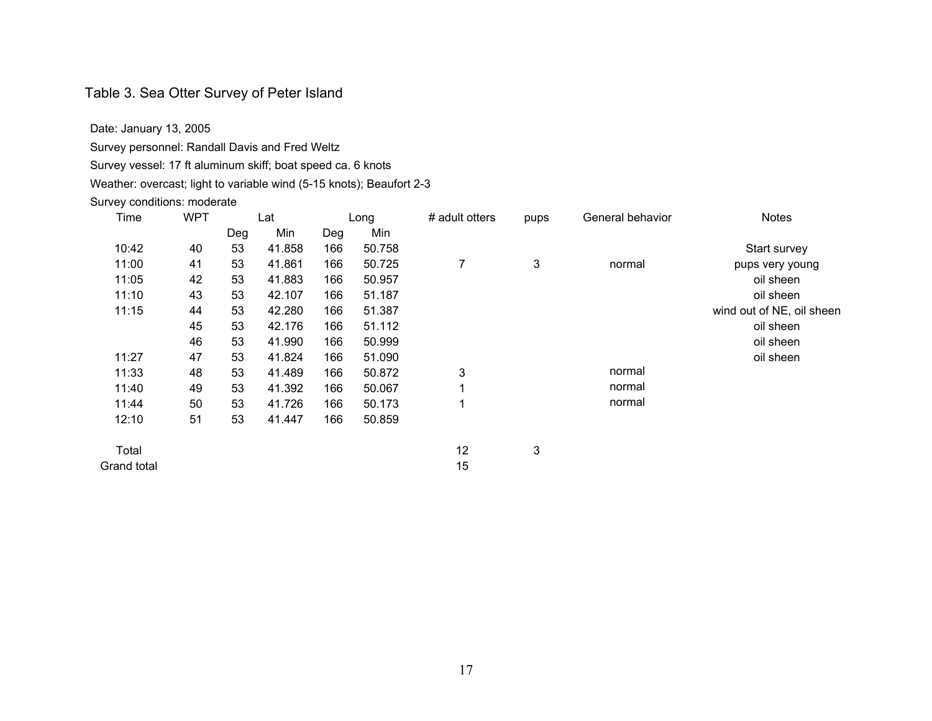## Table 3. Sea Otter Survey of Peter Island

Date: January 13, 2005

Survey personnel: Randall Davis and Fred Weltz

Survey vessel: 17 ft aluminum skiff; boat speed ca. 6 knots

Weather: overcast; light to variable wind (5-15 knots); Beaufort 2-3

#### Survey conditions: moderate

| Time<br><b>WPT</b> |    |     | Lat    |     | Long   | # adult otters | pups | General behavior | <b>Notes</b>              |
|--------------------|----|-----|--------|-----|--------|----------------|------|------------------|---------------------------|
|                    |    | Deg | Min    | Deg | Min    |                |      |                  |                           |
| 10:42              | 40 | 53  | 41.858 | 166 | 50.758 |                |      |                  | Start survey              |
| 11:00              | 41 | 53  | 41.861 | 166 | 50.725 | 7              | 3    | normal           | pups very young           |
| 11:05              | 42 | 53  | 41.883 | 166 | 50.957 |                |      |                  | oil sheen                 |
| 11:10              | 43 | 53  | 42.107 | 166 | 51.187 |                |      |                  | oil sheen                 |
| 11:15              | 44 | 53  | 42.280 | 166 | 51.387 |                |      |                  | wind out of NE, oil sheen |
|                    | 45 | 53  | 42.176 | 166 | 51.112 |                |      |                  | oil sheen                 |
|                    | 46 | 53  | 41.990 | 166 | 50.999 |                |      |                  | oil sheen                 |
| 11:27              | 47 | 53  | 41.824 | 166 | 51.090 |                |      |                  | oil sheen                 |
| 11:33              | 48 | 53  | 41.489 | 166 | 50.872 | 3              |      | normal           |                           |
| 11:40              | 49 | 53  | 41.392 | 166 | 50.067 | 1              |      | normal           |                           |
| 11:44              | 50 | 53  | 41.726 | 166 | 50.173 | 1              |      | normal           |                           |
| 12:10              | 51 | 53  | 41.447 | 166 | 50.859 |                |      |                  |                           |
| Total              |    |     |        |     |        | 12             | 3    |                  |                           |
| Grand total        |    |     |        |     |        | 15             |      |                  |                           |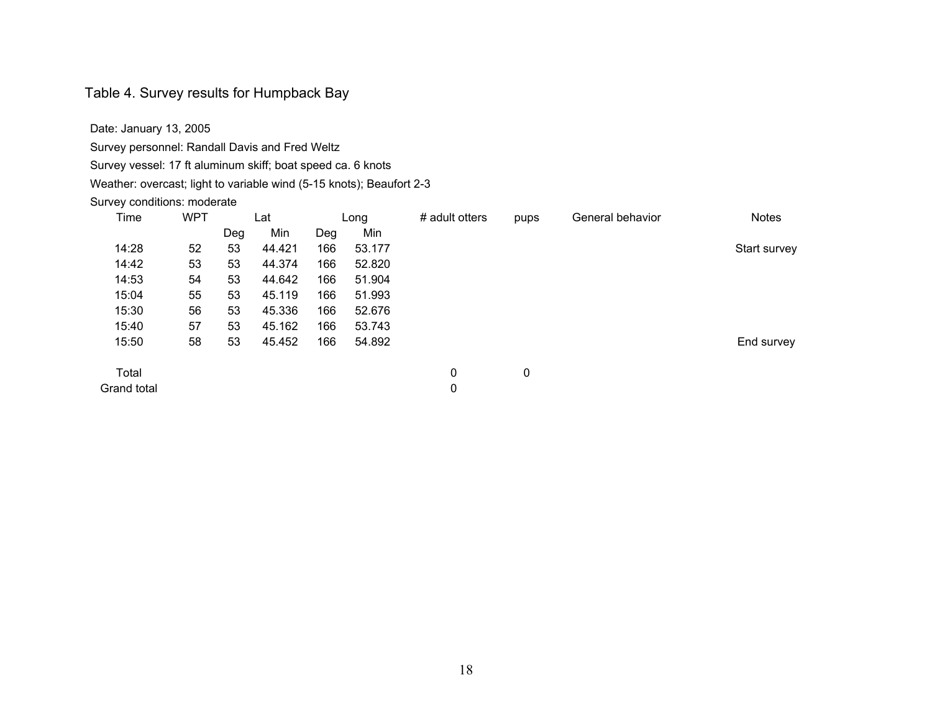#### Table 4. Survey results for Humpback Bay

Date: January 13, 2005

Survey personnel: Randall Davis and Fred Weltz

Survey vessel: 17 ft aluminum skiff; boat speed ca. 6 knots

Weather: overcast; light to variable wind (5-15 knots); Beaufort 2-3

#### Survey conditions: moderate

| Time        | <b>WPT</b> |     | Lat    |     | Long   | # adult otters | pups | General behavior | <b>Notes</b> |
|-------------|------------|-----|--------|-----|--------|----------------|------|------------------|--------------|
|             |            | Deg | Min    | Deg | Min    |                |      |                  |              |
| 14:28       | 52         | 53  | 44.421 | 166 | 53.177 |                |      |                  | Start survey |
| 14:42       | 53         | 53  | 44.374 | 166 | 52.820 |                |      |                  |              |
| 14:53       | 54         | 53  | 44.642 | 166 | 51.904 |                |      |                  |              |
| 15:04       | 55         | 53  | 45.119 | 166 | 51.993 |                |      |                  |              |
| 15:30       | 56         | 53  | 45.336 | 166 | 52.676 |                |      |                  |              |
| 15:40       | 57         | 53  | 45.162 | 166 | 53.743 |                |      |                  |              |
| 15:50       | 58         | 53  | 45.452 | 166 | 54.892 |                |      |                  | End survey   |
| Total       |            |     |        |     |        | 0              | 0    |                  |              |
| Grand total |            |     |        |     |        | 0              |      |                  |              |

18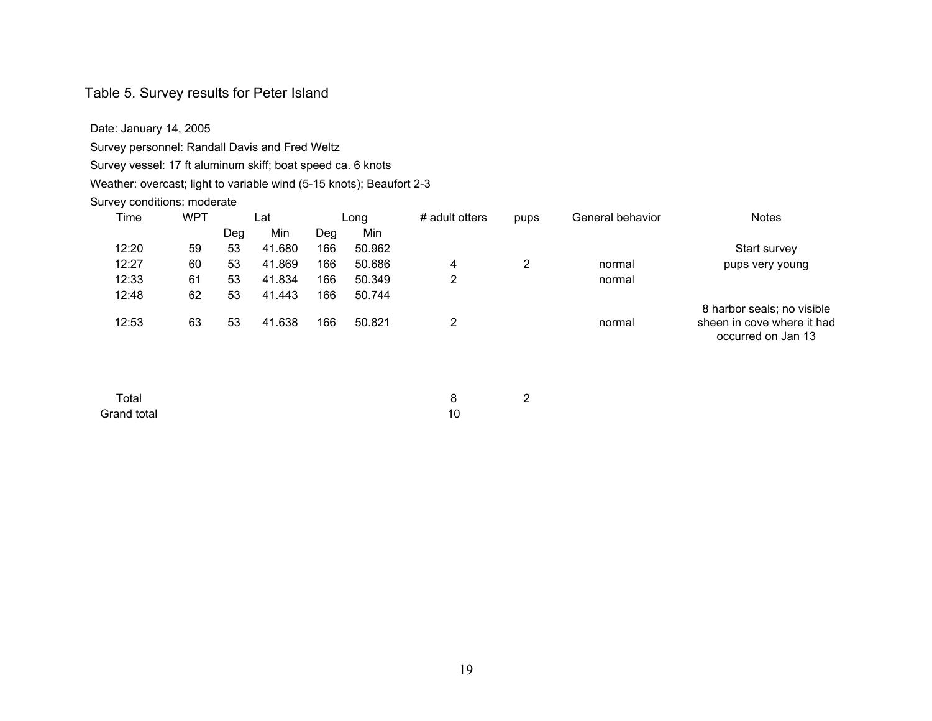#### Table 5. Survey results for Peter Island

Date: January 14, 2005

Survey personnel: Randall Davis and Fred Weltz

Survey vessel: 17 ft aluminum skiff; boat speed ca. 6 knots

Weather: overcast; light to variable wind (5-15 knots); Beaufort 2-3

#### Survey conditions: moderate

| <b>Notes</b>                                     | General behavior | pups | # adult otters | Long   |     | Lat    |     | <b>WPT</b> | Time  |  |
|--------------------------------------------------|------------------|------|----------------|--------|-----|--------|-----|------------|-------|--|
|                                                  |                  |      |                | Min    | Dea | Min    | Deg |            |       |  |
| Start survey                                     |                  |      |                | 50.962 | 166 | 41.680 | 53  | 59         | 12:20 |  |
| pups very young                                  | normal           | 2    | 4              | 50.686 | 166 | 41.869 | 53  | 60         | 12:27 |  |
|                                                  | normal           |      | $\overline{2}$ | 50.349 | 166 | 41.834 | 53  | 61         | 12:33 |  |
|                                                  |                  |      |                | 50.744 | 166 | 41.443 | 53  | 62         | 12:48 |  |
| 8 harbor seals; no visible                       |                  |      |                |        |     |        |     |            |       |  |
| sheen in cove where it had<br>occurred on Jan 13 | normal           |      |                | 50.821 | 166 | 41.638 | 53  | 63         | 12:53 |  |

Total 8 2 Grand total 10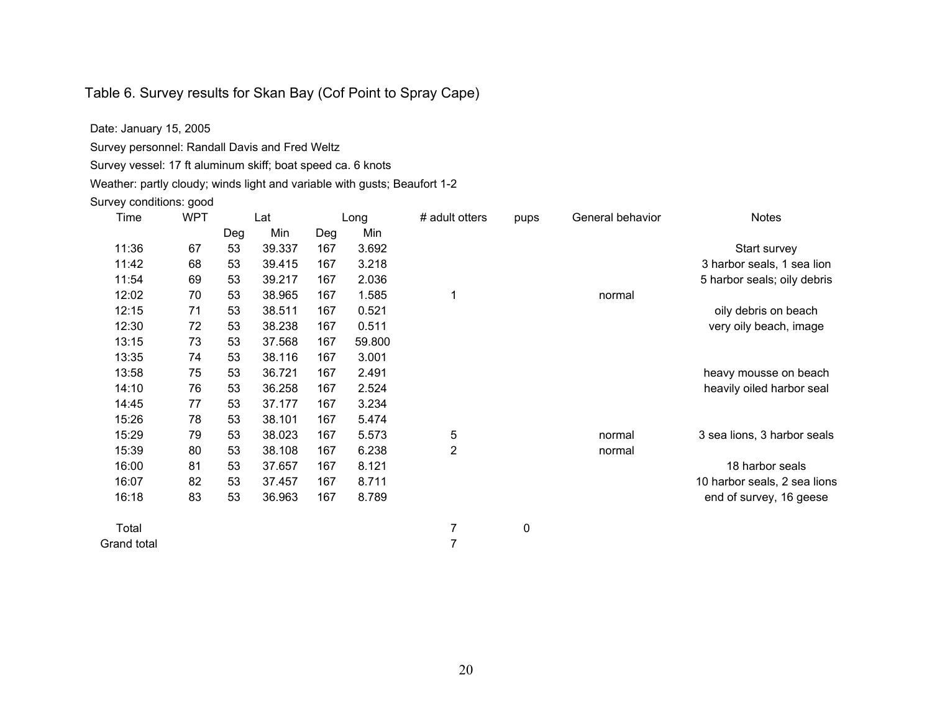## Table 6. Survey results for Skan Bay (Cof Point to Spray Cape)

Date: January 15, 2005

Survey personnel: Randall Davis and Fred Weltz

Survey vessel: 17 ft aluminum skiff; boat speed ca. 6 knots

Weather: partly cloudy; winds light and variable with gusts; Beaufort 1-2

#### Survey conditions: good

| Time  | <b>WPT</b> |     | Lat    |     | Long   | # adult otters | pups | General behavior | <b>Notes</b>                 |
|-------|------------|-----|--------|-----|--------|----------------|------|------------------|------------------------------|
|       |            | Deg | Min    | Deg | Min    |                |      |                  |                              |
| 11:36 | 67         | 53  | 39.337 | 167 | 3.692  |                |      |                  | Start survey                 |
| 11:42 | 68         | 53  | 39.415 | 167 | 3.218  |                |      |                  | 3 harbor seals, 1 sea lion   |
| 11:54 | 69         | 53  | 39.217 | 167 | 2.036  |                |      |                  | 5 harbor seals; oily debris  |
| 12:02 | 70         | 53  | 38.965 | 167 | 1.585  |                |      | normal           |                              |
| 12:15 | 71         | 53  | 38.511 | 167 | 0.521  |                |      |                  | oily debris on beach         |
| 12:30 | 72         | 53  | 38.238 | 167 | 0.511  |                |      |                  | very oily beach, image       |
| 13:15 | 73         | 53  | 37.568 | 167 | 59.800 |                |      |                  |                              |
| 13:35 | 74         | 53  | 38.116 | 167 | 3.001  |                |      |                  |                              |
| 13:58 | 75         | 53  | 36.721 | 167 | 2.491  |                |      |                  | heavy mousse on beach        |
| 14:10 | 76         | 53  | 36.258 | 167 | 2.524  |                |      |                  | heavily oiled harbor seal    |
| 14:45 | 77         | 53  | 37.177 | 167 | 3.234  |                |      |                  |                              |
| 15:26 | 78         | 53  | 38.101 | 167 | 5.474  |                |      |                  |                              |
| 15:29 | 79         | 53  | 38.023 | 167 | 5.573  | 5              |      | normal           | 3 sea lions, 3 harbor seals  |
| 15:39 | 80         | 53  | 38.108 | 167 | 6.238  | 2              |      | normal           |                              |
| 16:00 | 81         | 53  | 37.657 | 167 | 8.121  |                |      |                  | 18 harbor seals              |
| 16:07 | 82         | 53  | 37.457 | 167 | 8.711  |                |      |                  | 10 harbor seals, 2 sea lions |
| 16:18 | 83         | 53  | 36.963 | 167 | 8.789  |                |      |                  | end of survey, 16 geese      |

Total 7 0

Grand total 7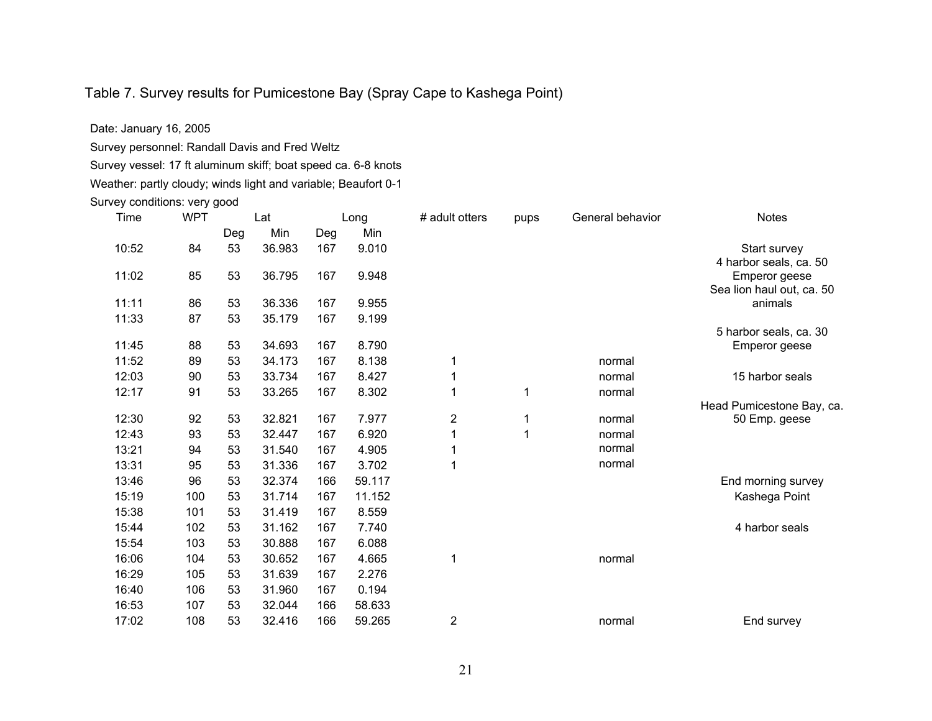## Table 7. Survey results for Pumicestone Bay (Spray Cape to Kashega Point)

Date: January 16, 2005

Survey personnel: Randall Davis and Fred Weltz

Survey vessel: 17 ft aluminum skiff; boat speed ca. 6-8 knots

Weather: partly cloudy; winds light and variable; Beaufort 0-1

Survey conditions: very good

| Time  | <b>WPT</b> |     | Lat    |     | Long   | # adult otters | pups | General behavior | <b>Notes</b>              |
|-------|------------|-----|--------|-----|--------|----------------|------|------------------|---------------------------|
|       |            | Deg | Min    | Deg | Min    |                |      |                  |                           |
| 10:52 | 84         | 53  | 36.983 | 167 | 9.010  |                |      |                  | Start survey              |
|       |            |     |        |     |        |                |      |                  | 4 harbor seals, ca. 50    |
| 11:02 | 85         | 53  | 36.795 | 167 | 9.948  |                |      |                  | Emperor geese             |
|       |            |     |        |     |        |                |      |                  | Sea lion haul out, ca. 50 |
| 11:11 | 86         | 53  | 36.336 | 167 | 9.955  |                |      |                  | animals                   |
| 11:33 | 87         | 53  | 35.179 | 167 | 9.199  |                |      |                  |                           |
|       |            |     |        |     |        |                |      |                  | 5 harbor seals, ca. 30    |
| 11:45 | 88         | 53  | 34.693 | 167 | 8.790  |                |      |                  | Emperor geese             |
| 11:52 | 89         | 53  | 34.173 | 167 | 8.138  | 1              |      | normal           |                           |
| 12:03 | 90         | 53  | 33.734 | 167 | 8.427  | 1              |      | normal           | 15 harbor seals           |
| 12:17 | 91         | 53  | 33.265 | 167 | 8.302  |                | 1    | normal           |                           |
|       |            |     |        |     |        |                |      |                  | Head Pumicestone Bay, ca. |
| 12:30 | 92         | 53  | 32.821 | 167 | 7.977  | $\overline{2}$ | 1    | normal           | 50 Emp. geese             |
| 12:43 | 93         | 53  | 32.447 | 167 | 6.920  | 1              | 1    | normal           |                           |
| 13:21 | 94         | 53  | 31.540 | 167 | 4.905  |                |      | normal           |                           |
| 13:31 | 95         | 53  | 31.336 | 167 | 3.702  | 1              |      | normal           |                           |
| 13:46 | 96         | 53  | 32.374 | 166 | 59.117 |                |      |                  | End morning survey        |
| 15:19 | 100        | 53  | 31.714 | 167 | 11.152 |                |      |                  | Kashega Point             |
| 15:38 | 101        | 53  | 31.419 | 167 | 8.559  |                |      |                  |                           |
| 15:44 | 102        | 53  | 31.162 | 167 | 7.740  |                |      |                  | 4 harbor seals            |
| 15:54 | 103        | 53  | 30.888 | 167 | 6.088  |                |      |                  |                           |
| 16:06 | 104        | 53  | 30.652 | 167 | 4.665  | 1              |      | normal           |                           |
| 16:29 | 105        | 53  | 31.639 | 167 | 2.276  |                |      |                  |                           |
| 16:40 | 106        | 53  | 31.960 | 167 | 0.194  |                |      |                  |                           |
| 16:53 | 107        | 53  | 32.044 | 166 | 58.633 |                |      |                  |                           |
| 17:02 | 108        | 53  | 32.416 | 166 | 59.265 | $\overline{2}$ |      | normal           | End survey                |
|       |            |     |        |     |        |                |      |                  |                           |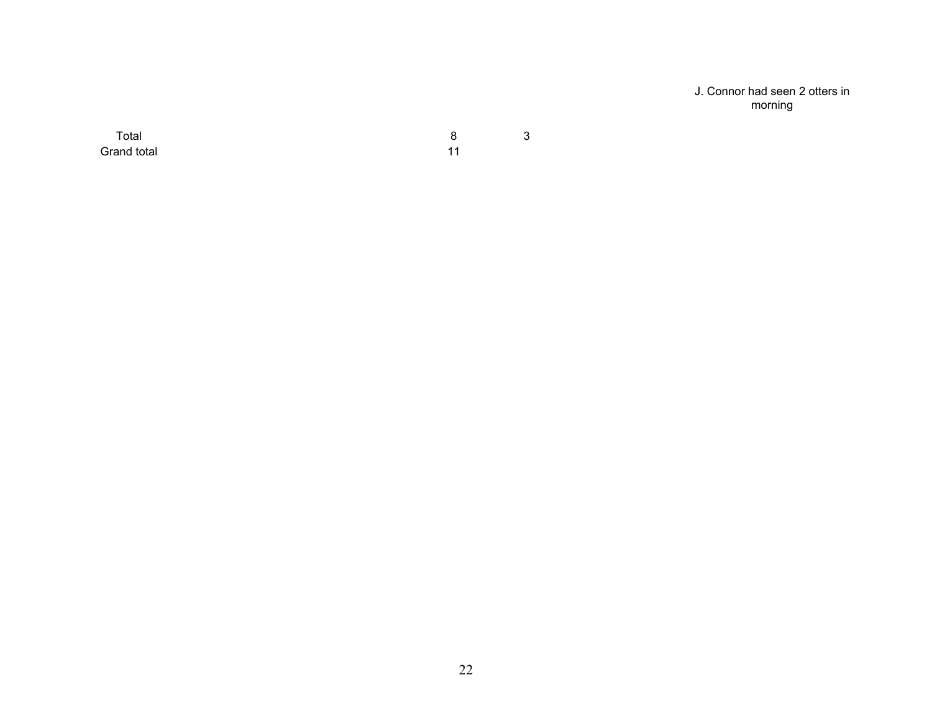J. Connor had seen 2 otters in morning

Total 8 3 Grand total 11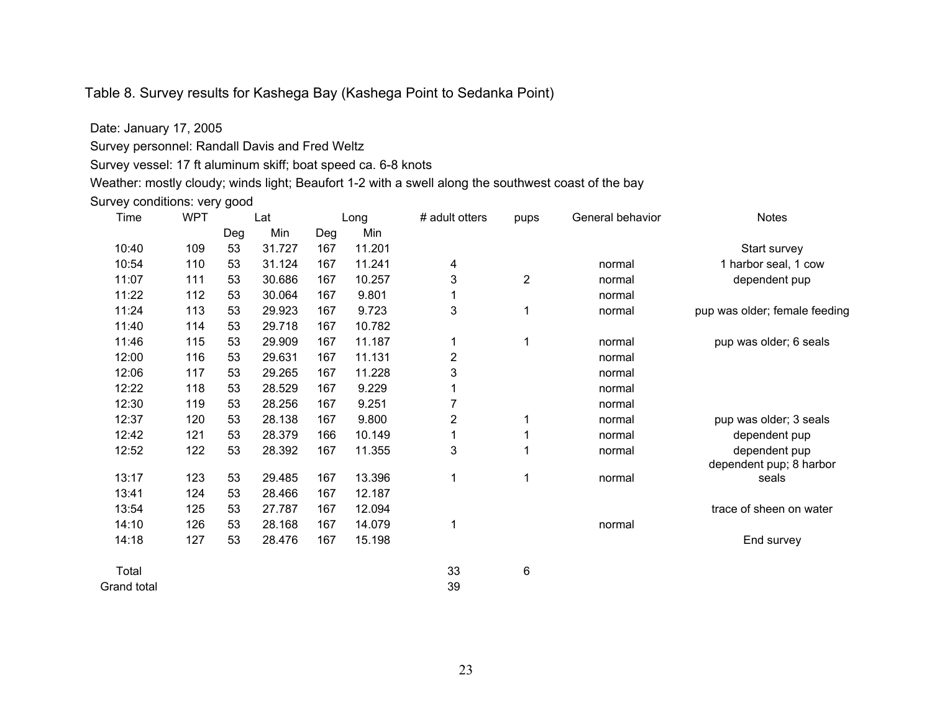## Table 8. Survey results for Kashega Bay (Kashega Point to Sedanka Point)

Date: January 17, 2005

Survey personnel: Randall Davis and Fred Weltz

Survey vessel: 17 ft aluminum skiff; boat speed ca. 6-8 knots

Weather: mostly cloudy; winds light; Beaufort 1-2 with a swell along the southwest coast of the bay

Survey conditions: very good

| Time  | <b>WPT</b> |     | Lat    |     | Long   | # adult otters | pups           | General behavior | <b>Notes</b>                  |
|-------|------------|-----|--------|-----|--------|----------------|----------------|------------------|-------------------------------|
|       |            | Deg | Min    | Deg | Min    |                |                |                  |                               |
| 10:40 | 109        | 53  | 31.727 | 167 | 11.201 |                |                |                  | Start survey                  |
| 10:54 | 110        | 53  | 31.124 | 167 | 11.241 | 4              |                | normal           | 1 harbor seal, 1 cow          |
| 11:07 | 111        | 53  | 30.686 | 167 | 10.257 | 3              | $\overline{2}$ | normal           | dependent pup                 |
| 11:22 | 112        | 53  | 30.064 | 167 | 9.801  |                |                | normal           |                               |
| 11:24 | 113        | 53  | 29.923 | 167 | 9.723  | 3              | 1              | normal           | pup was older; female feeding |
| 11:40 | 114        | 53  | 29.718 | 167 | 10.782 |                |                |                  |                               |
| 11:46 | 115        | 53  | 29.909 | 167 | 11.187 | 1              | 1              | normal           | pup was older; 6 seals        |
| 12:00 | 116        | 53  | 29.631 | 167 | 11.131 | 2              |                | normal           |                               |
| 12:06 | 117        | 53  | 29.265 | 167 | 11.228 | 3              |                | normal           |                               |
| 12:22 | 118        | 53  | 28.529 | 167 | 9.229  |                |                | normal           |                               |
| 12:30 | 119        | 53  | 28.256 | 167 | 9.251  | 7              |                | normal           |                               |
| 12:37 | 120        | 53  | 28.138 | 167 | 9.800  | 2              | 1              | normal           | pup was older; 3 seals        |
| 12:42 | 121        | 53  | 28.379 | 166 | 10.149 |                |                | normal           | dependent pup                 |
| 12:52 | 122        | 53  | 28.392 | 167 | 11.355 | 3              |                | normal           | dependent pup                 |
|       |            |     |        |     |        |                |                |                  | dependent pup; 8 harbor       |
| 13:17 | 123        | 53  | 29.485 | 167 | 13.396 | 1              | 1              | normal           | seals                         |
| 13:41 | 124        | 53  | 28.466 | 167 | 12.187 |                |                |                  |                               |
| 13:54 | 125        | 53  | 27.787 | 167 | 12.094 |                |                |                  | trace of sheen on water       |
| 14:10 | 126        | 53  | 28.168 | 167 | 14.079 | 1              |                | normal           |                               |
| 14:18 | 127        | 53  | 28.476 | 167 | 15.198 |                |                |                  | End survey                    |
| Total |            |     |        |     |        | 33             | 6              |                  |                               |

Grand total 39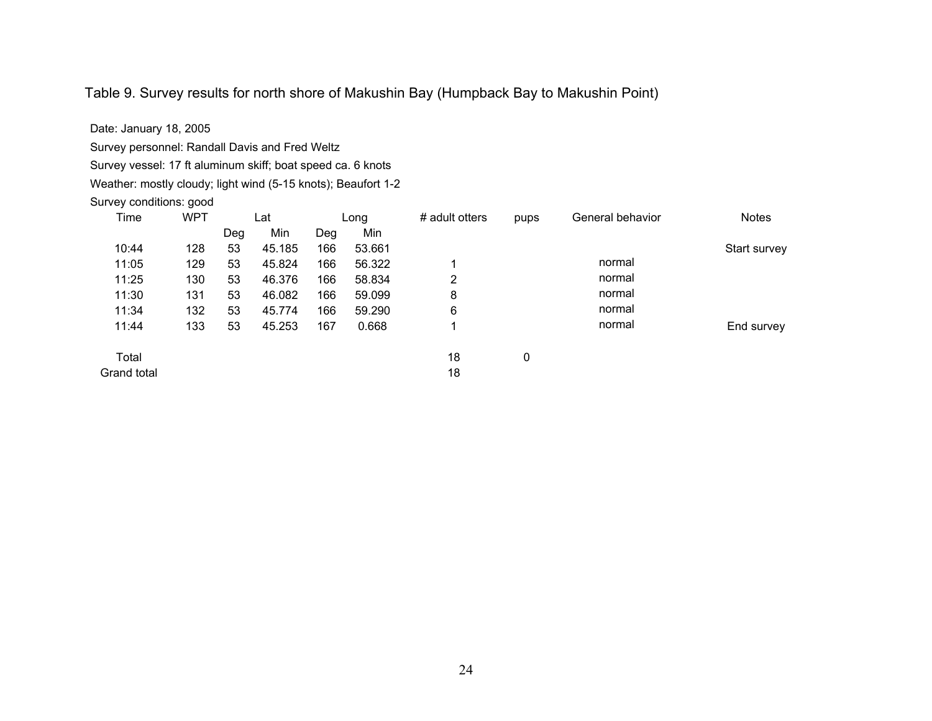# Table 9. Survey results for north shore of Makushin Bay (Humpback Bay to Makushin Point)

| Date: January 18, 2005                                        |            |     |        |     |        |                |      |                  |              |
|---------------------------------------------------------------|------------|-----|--------|-----|--------|----------------|------|------------------|--------------|
| Survey personnel: Randall Davis and Fred Weltz                |            |     |        |     |        |                |      |                  |              |
| Survey vessel: 17 ft aluminum skiff; boat speed ca. 6 knots   |            |     |        |     |        |                |      |                  |              |
| Weather: mostly cloudy; light wind (5-15 knots); Beaufort 1-2 |            |     |        |     |        |                |      |                  |              |
| Survey conditions: good                                       |            |     |        |     |        |                |      |                  |              |
| Time                                                          | <b>WPT</b> |     | Lat    |     | Long   | # adult otters | pups | General behavior | <b>Notes</b> |
|                                                               |            | Deg | Min    | Deg | Min    |                |      |                  |              |
| 10:44                                                         | 128        | 53  | 45.185 | 166 | 53.661 |                |      |                  | Start survey |
| 11:05                                                         | 129        | 53  | 45.824 | 166 | 56.322 | 1              |      | normal           |              |
| 11:25                                                         | 130        | 53  | 46.376 | 166 | 58.834 | 2              |      | normal           |              |
| 11:30                                                         | 131        | 53  | 46.082 | 166 | 59.099 | 8              |      | normal           |              |
| 11:34                                                         | 132        | 53  | 45.774 | 166 | 59.290 | 6              |      | normal           |              |
| 11:44                                                         | 133        | 53  | 45.253 | 167 | 0.668  | 1              |      | normal           | End survey   |
| Total                                                         |            |     |        |     |        | 18             | 0    |                  |              |
| Grand total                                                   |            |     |        |     |        | 18             |      |                  |              |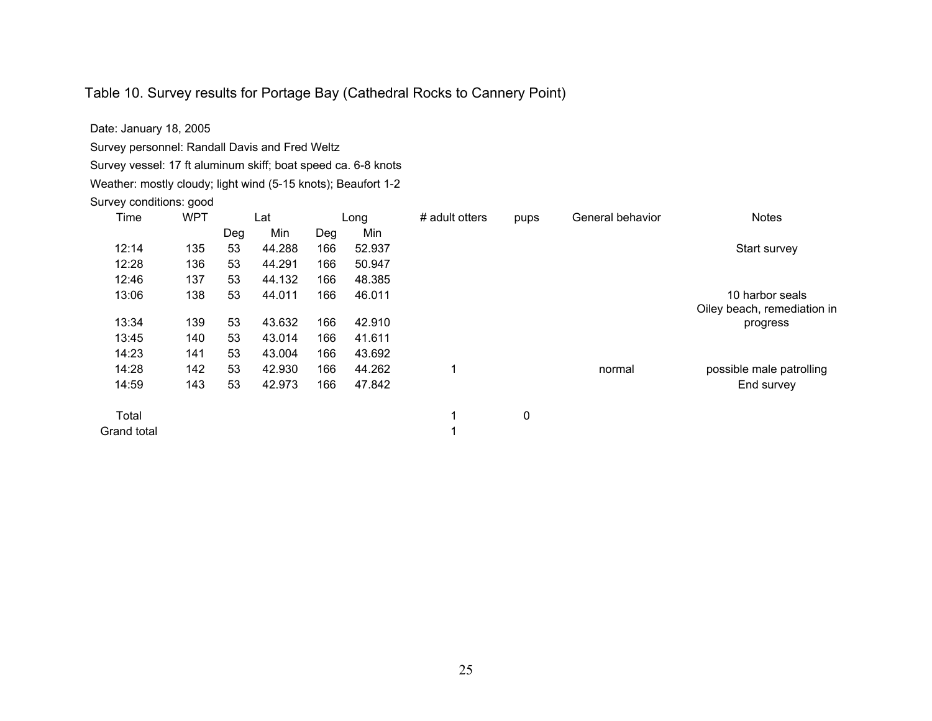# Table 10. Survey results for Portage Bay (Cathedral Rocks to Cannery Point)

| Date: January 18, 2005                                        |     |     |        |     |        |                |      |                  |                             |
|---------------------------------------------------------------|-----|-----|--------|-----|--------|----------------|------|------------------|-----------------------------|
| Survey personnel: Randall Davis and Fred Weltz                |     |     |        |     |        |                |      |                  |                             |
| Survey vessel: 17 ft aluminum skiff; boat speed ca. 6-8 knots |     |     |        |     |        |                |      |                  |                             |
| Weather: mostly cloudy; light wind (5-15 knots); Beaufort 1-2 |     |     |        |     |        |                |      |                  |                             |
| Survey conditions: good                                       |     |     |        |     |        |                |      |                  |                             |
| Time                                                          | WPT |     | Lat    |     | Long   | # adult otters | pups | General behavior | <b>Notes</b>                |
|                                                               |     | Deg | Min    | Deg | Min    |                |      |                  |                             |
| 12:14                                                         | 135 | 53  | 44.288 | 166 | 52.937 |                |      |                  | Start survey                |
| 12:28                                                         | 136 | 53  | 44.291 | 166 | 50.947 |                |      |                  |                             |
| 12:46                                                         | 137 | 53  | 44.132 | 166 | 48.385 |                |      |                  |                             |
| 13:06                                                         | 138 | 53  | 44.011 | 166 | 46.011 |                |      |                  | 10 harbor seals             |
|                                                               |     |     |        |     |        |                |      |                  | Oiley beach, remediation in |
| 13:34                                                         | 139 | 53  | 43.632 | 166 | 42.910 |                |      |                  | progress                    |
| 13:45                                                         | 140 | 53  | 43.014 | 166 | 41.611 |                |      |                  |                             |
| 14:23                                                         | 141 | 53  | 43.004 | 166 | 43.692 |                |      |                  |                             |
| 14:28                                                         | 142 | 53  | 42.930 | 166 | 44.262 | 1              |      | normal           | possible male patrolling    |
| 14:59                                                         | 143 | 53  | 42.973 | 166 | 47.842 |                |      |                  | End survey                  |
|                                                               |     |     |        |     |        |                |      |                  |                             |

Total 1 0 Grand total 1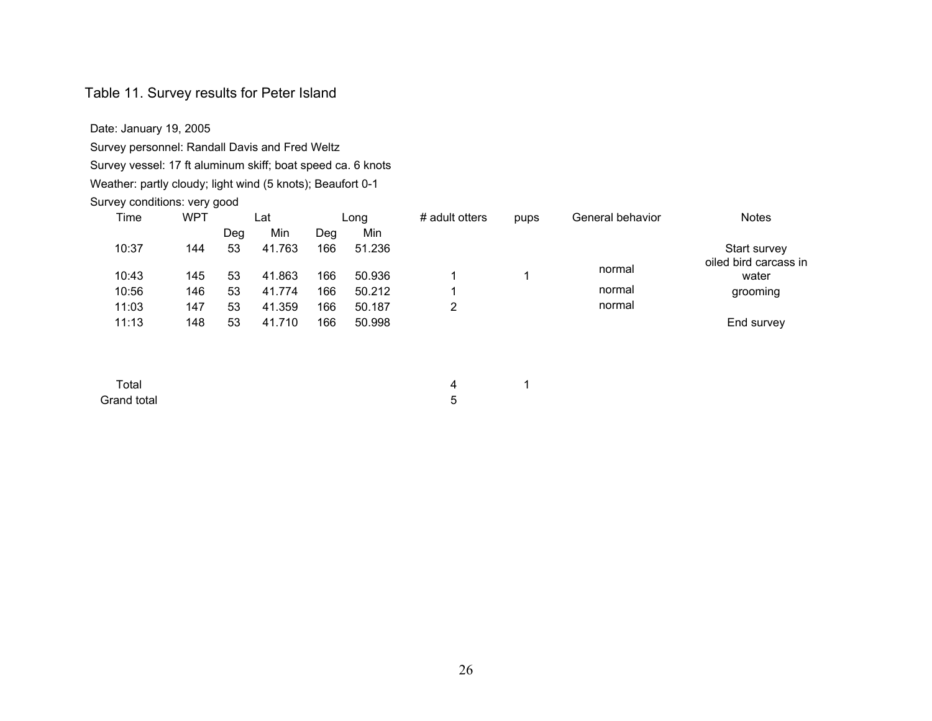#### Table 11. Survey results for Peter Island

Date: January 19, 2005 Survey personnel: Randall Davis and Fred Weltz

Survey vessel: 17 ft aluminum skiff; boat speed ca. 6 knots

#### Weather: partly cloudy; light wind (5 knots); Beaufort 0-1

#### Survey conditions: very good

| Time  | <b>WPT</b> |     | Lat    |     | Long   | # adult otters | pups | General behavior | <b>Notes</b>                   |  |
|-------|------------|-----|--------|-----|--------|----------------|------|------------------|--------------------------------|--|
|       |            | Deg | Min    | Dea | Min    |                |      |                  |                                |  |
| 10:37 | 144        | 53  | 41.763 | 166 | 51.236 |                |      |                  | Start survey                   |  |
| 10:43 | 145        | 53  | 41.863 | 166 | 50.936 |                |      | normal           | oiled bird carcass in<br>water |  |
| 10:56 | 146        | 53  | 41.774 | 166 | 50.212 |                |      | normal           | grooming                       |  |
| 11:03 | 147        | 53  | 41.359 | 166 | 50.187 |                |      | normal           |                                |  |
| 11:13 | 148        | 53  | 41.710 | 166 | 50.998 |                |      |                  | End survey                     |  |

Grand total 5

 $\Gamma$ otal  $\sim$  1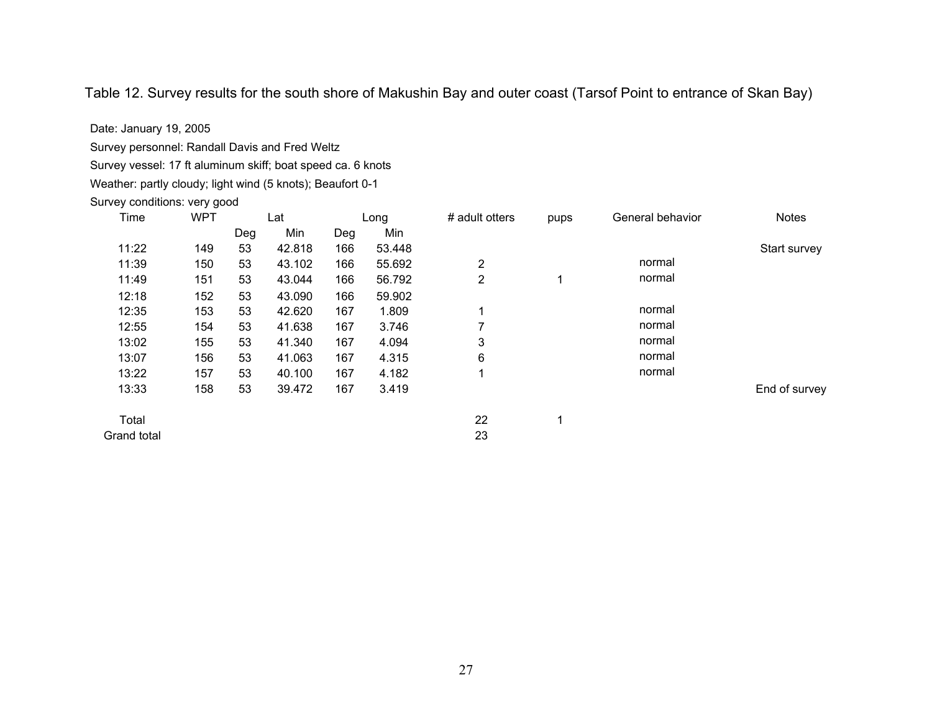Table 12. Survey results for the south shore of Makushin Bay and outer coast (Tarsof Point to entrance of Skan Bay)

Date: January 19, 2005

Survey personnel: Randall Davis and Fred Weltz

Survey vessel: 17 ft aluminum skiff; boat speed ca. 6 knots Weather: partly cloudy; light wind (5 knots); Beaufort 0-1 Survey conditions: very good Time WPT Lat Long # adult otters pups General behavior Notes Deg Min Deg Min 11:22 149 53 42.818 166 53.448 Start survey 11:39 150 53 43.102 166 55.692 2 normal 11:49 151 53 43.044 166 56.792 2 1 normal 12:18 152 53 43.090 166 59.902 12:35 153 53 42.620 167 1.809 1 normal 12:55 154 53 41.638 167 3.746 7 normal 13:02 155 53 41.340 167 4.094 3 normal 13:07 156 53 41.063 167 4.315 6 normal 13:22 157 53 40.100 167 4.182 1 normal 13:33 158 53 39.472 167 3.419 End of survey Total 22 1 Grand total 23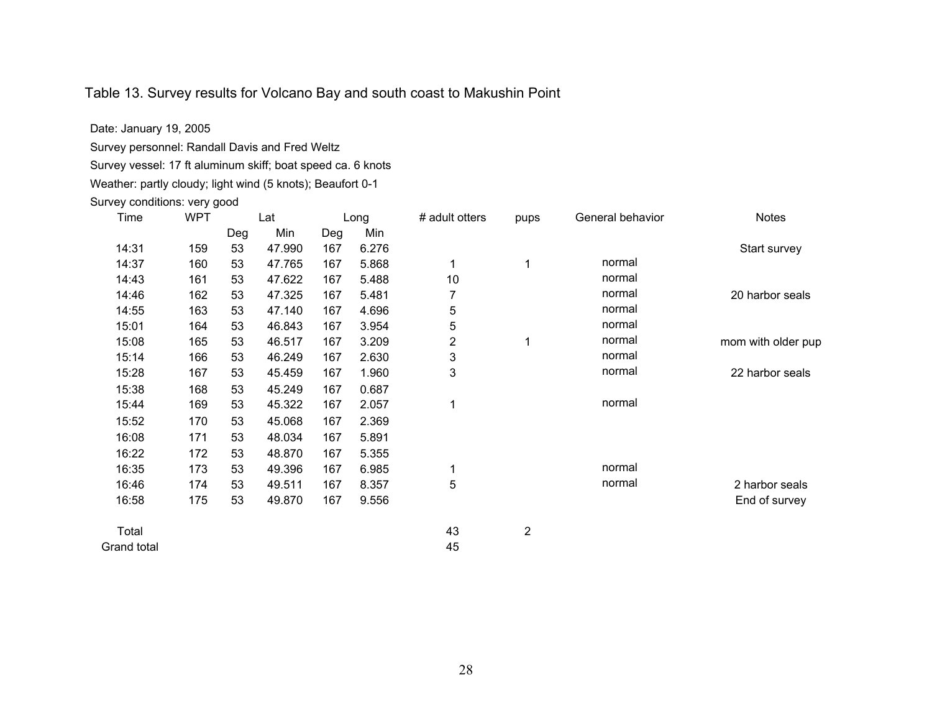## Table 13. Survey results for Volcano Bay and south coast to Makushin Point

Date: January 19, 2005 Survey personnel: Randall Davis and Fred Weltz

Survey vessel: 17 ft aluminum skiff; boat speed ca. 6 knots

Weather: partly cloudy; light wind (5 knots); Beaufort 0-1

Survey conditions: very good

| Time        | <b>WPT</b> | Lat |        | Long |       | # adult otters | pups           | General behavior | <b>Notes</b>       |
|-------------|------------|-----|--------|------|-------|----------------|----------------|------------------|--------------------|
|             |            | Deg | Min    | Deg  | Min   |                |                |                  |                    |
| 14:31       | 159        | 53  | 47.990 | 167  | 6.276 |                |                |                  | Start survey       |
| 14:37       | 160        | 53  | 47.765 | 167  | 5.868 | 1              | 1              | normal           |                    |
| 14:43       | 161        | 53  | 47.622 | 167  | 5.488 | 10             |                | normal           |                    |
| 14:46       | 162        | 53  | 47.325 | 167  | 5.481 | 7              |                | normal           | 20 harbor seals    |
| 14:55       | 163        | 53  | 47.140 | 167  | 4.696 | 5              |                | normal           |                    |
| 15:01       | 164        | 53  | 46.843 | 167  | 3.954 | 5              |                | normal           |                    |
| 15:08       | 165        | 53  | 46.517 | 167  | 3.209 | 2              | 1              | normal           | mom with older pup |
| 15:14       | 166        | 53  | 46.249 | 167  | 2.630 | 3              |                | normal           |                    |
| 15:28       | 167        | 53  | 45.459 | 167  | 1.960 | 3              |                | normal           | 22 harbor seals    |
| 15:38       | 168        | 53  | 45.249 | 167  | 0.687 |                |                |                  |                    |
| 15:44       | 169        | 53  | 45.322 | 167  | 2.057 | 1              |                | normal           |                    |
| 15:52       | 170        | 53  | 45.068 | 167  | 2.369 |                |                |                  |                    |
| 16:08       | 171        | 53  | 48.034 | 167  | 5.891 |                |                |                  |                    |
| 16:22       | 172        | 53  | 48.870 | 167  | 5.355 |                |                |                  |                    |
| 16:35       | 173        | 53  | 49.396 | 167  | 6.985 | 1              |                | normal           |                    |
| 16:46       | 174        | 53  | 49.511 | 167  | 8.357 | 5              |                | normal           | 2 harbor seals     |
| 16:58       | 175        | 53  | 49.870 | 167  | 9.556 |                |                |                  | End of survey      |
| Total       |            |     |        |      |       | 43             | $\overline{2}$ |                  |                    |
| Grand total |            |     |        |      |       | 45             |                |                  |                    |